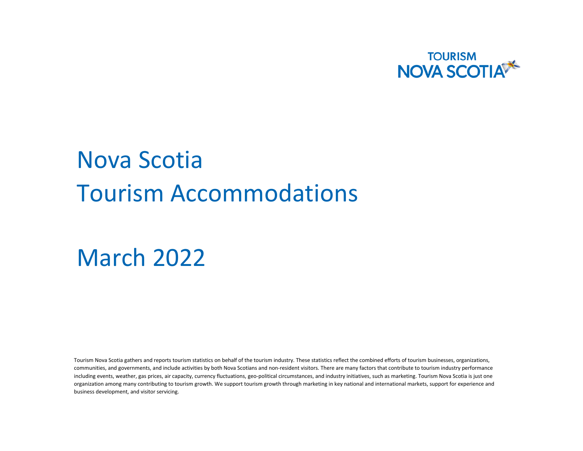

# Nova Scotia Tourism Accommodations

## March 2022

Tourism Nova Scotia gathers and reports tourism statistics on behalf of the tourism industry. These statistics reflect the combined efforts of tourism businesses, organizations, communities, and governments, and include activities by both Nova Scotians and non-resident visitors. There are many factors that contribute to tourism industry performance including events, weather, gas prices, air capacity, currency fluctuations, geo-political circumstances, and industry initiatives, such as marketing. Tourism Nova Scotia is just one organization among many contributing to tourism growth. We support tourism growth through marketing in key national and international markets, support for experience and business development, and visitor servicing.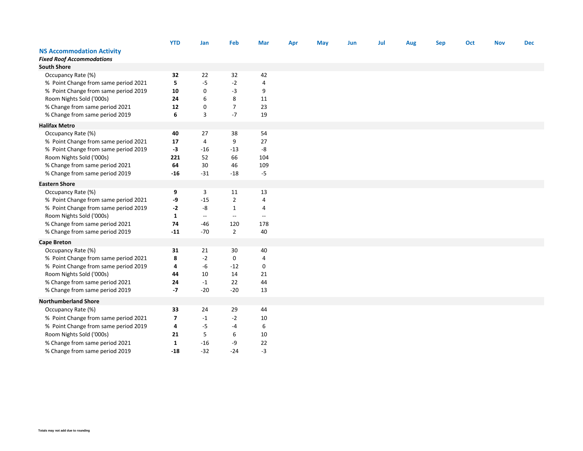|                                      | <b>YTD</b>              | Jan                      | Feb               | Mar               | Apr | May | Jun | Jul | Aug | <b>Sep</b> | Oct | <b>Nov</b> | <b>Dec</b> |
|--------------------------------------|-------------------------|--------------------------|-------------------|-------------------|-----|-----|-----|-----|-----|------------|-----|------------|------------|
| <b>NS Accommodation Activity</b>     |                         |                          |                   |                   |     |     |     |     |     |            |     |            |            |
| <b>Fixed Roof Accommodations</b>     |                         |                          |                   |                   |     |     |     |     |     |            |     |            |            |
| <b>South Shore</b>                   |                         |                          |                   |                   |     |     |     |     |     |            |     |            |            |
| Occupancy Rate (%)                   | 32                      | 22                       | 32                | 42                |     |     |     |     |     |            |     |            |            |
| % Point Change from same period 2021 | 5                       | $-5$                     | $-2$              | 4                 |     |     |     |     |     |            |     |            |            |
| % Point Change from same period 2019 | 10                      | $\mathbf 0$              | $-3$              | 9                 |     |     |     |     |     |            |     |            |            |
| Room Nights Sold ('000s)             | 24                      | 6                        | 8                 | 11                |     |     |     |     |     |            |     |            |            |
| % Change from same period 2021       | 12                      | $\pmb{0}$                | $\overline{7}$    | 23                |     |     |     |     |     |            |     |            |            |
| % Change from same period 2019       | 6                       | 3                        | $-7$              | 19                |     |     |     |     |     |            |     |            |            |
| <b>Halifax Metro</b>                 |                         |                          |                   |                   |     |     |     |     |     |            |     |            |            |
| Occupancy Rate (%)                   | 40                      | 27                       | 38                | 54                |     |     |     |     |     |            |     |            |            |
| % Point Change from same period 2021 | 17                      | 4                        | 9                 | 27                |     |     |     |     |     |            |     |            |            |
| % Point Change from same period 2019 | $-3$                    | $-16$                    | $-13$             | -8                |     |     |     |     |     |            |     |            |            |
| Room Nights Sold ('000s)             | 221                     | 52                       | 66                | 104               |     |     |     |     |     |            |     |            |            |
| % Change from same period 2021       | 64                      | 30                       | 46                | 109               |     |     |     |     |     |            |     |            |            |
| % Change from same period 2019       | $-16$                   | $-31$                    | $-18$             | $-5$              |     |     |     |     |     |            |     |            |            |
| <b>Eastern Shore</b>                 |                         |                          |                   |                   |     |     |     |     |     |            |     |            |            |
| Occupancy Rate (%)                   | 9                       | 3                        | 11                | 13                |     |     |     |     |     |            |     |            |            |
| % Point Change from same period 2021 | -9                      | $-15$                    | $\overline{2}$    | 4                 |     |     |     |     |     |            |     |            |            |
| % Point Change from same period 2019 | $-2$                    | -8                       | $\mathbf{1}$      | 4                 |     |     |     |     |     |            |     |            |            |
| Room Nights Sold ('000s)             | $\mathbf{1}$            | $\overline{\phantom{a}}$ | $\qquad \qquad -$ | $\qquad \qquad -$ |     |     |     |     |     |            |     |            |            |
| % Change from same period 2021       | 74                      | $-46$                    | 120               | 178               |     |     |     |     |     |            |     |            |            |
| % Change from same period 2019       | $-11$                   | $-70$                    | $\overline{2}$    | 40                |     |     |     |     |     |            |     |            |            |
| <b>Cape Breton</b>                   |                         |                          |                   |                   |     |     |     |     |     |            |     |            |            |
| Occupancy Rate (%)                   | 31                      | 21                       | 30                | 40                |     |     |     |     |     |            |     |            |            |
| % Point Change from same period 2021 | 8                       | $-2$                     | 0                 | $\overline{a}$    |     |     |     |     |     |            |     |            |            |
| % Point Change from same period 2019 | 4                       | -6                       | $-12$             | 0                 |     |     |     |     |     |            |     |            |            |
| Room Nights Sold ('000s)             | 44                      | 10                       | 14                | 21                |     |     |     |     |     |            |     |            |            |
| % Change from same period 2021       | 24                      | $-1$                     | 22                | 44                |     |     |     |     |     |            |     |            |            |
| % Change from same period 2019       | $-7$                    | $-20$                    | $-20$             | 13                |     |     |     |     |     |            |     |            |            |
| <b>Northumberland Shore</b>          |                         |                          |                   |                   |     |     |     |     |     |            |     |            |            |
| Occupancy Rate (%)                   | 33                      | 24                       | 29                | 44                |     |     |     |     |     |            |     |            |            |
| % Point Change from same period 2021 | $\overline{\mathbf{z}}$ | $-1$                     | $-2$              | 10                |     |     |     |     |     |            |     |            |            |
| % Point Change from same period 2019 | 4                       | $-5$                     | $-4$              | 6                 |     |     |     |     |     |            |     |            |            |
| Room Nights Sold ('000s)             | 21                      | 5                        | 6                 | 10                |     |     |     |     |     |            |     |            |            |
| % Change from same period 2021       | $\mathbf{1}$            | $-16$                    | -9                | 22                |     |     |     |     |     |            |     |            |            |
| % Change from same period 2019       | $-18$                   | $-32$                    | $-24$             | $-3$              |     |     |     |     |     |            |     |            |            |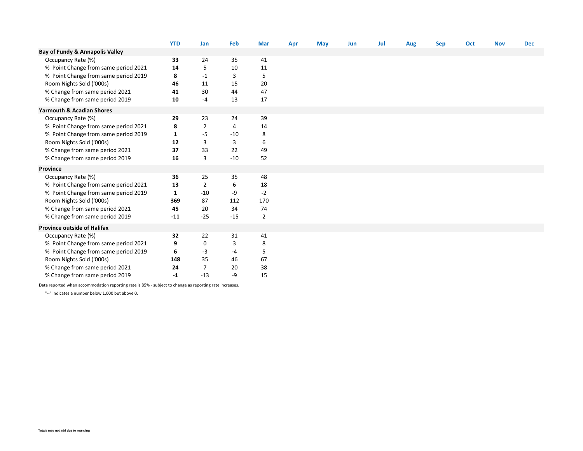|                                      | <b>YTD</b>   | Jan            | Feb   | <b>Mar</b>     | Apr | <b>May</b> | Jun | Jul | Aug | <b>Sep</b> | Oct | <b>Nov</b> | <b>Dec</b> |
|--------------------------------------|--------------|----------------|-------|----------------|-----|------------|-----|-----|-----|------------|-----|------------|------------|
| Bay of Fundy & Annapolis Valley      |              |                |       |                |     |            |     |     |     |            |     |            |            |
| Occupancy Rate (%)                   | 33           | 24             | 35    | 41             |     |            |     |     |     |            |     |            |            |
| % Point Change from same period 2021 | 14           | 5              | 10    | 11             |     |            |     |     |     |            |     |            |            |
| % Point Change from same period 2019 | 8            | -1             | 3     | 5              |     |            |     |     |     |            |     |            |            |
| Room Nights Sold ('000s)             | 46           | 11             | 15    | 20             |     |            |     |     |     |            |     |            |            |
| % Change from same period 2021       | 41           | 30             | 44    | 47             |     |            |     |     |     |            |     |            |            |
| % Change from same period 2019       | 10           | $-4$           | 13    | 17             |     |            |     |     |     |            |     |            |            |
| <b>Yarmouth &amp; Acadian Shores</b> |              |                |       |                |     |            |     |     |     |            |     |            |            |
| Occupancy Rate (%)                   | 29           | 23             | 24    | 39             |     |            |     |     |     |            |     |            |            |
| % Point Change from same period 2021 | 8            | $\overline{2}$ | 4     | 14             |     |            |     |     |     |            |     |            |            |
| % Point Change from same period 2019 | 1            | -5             | $-10$ | 8              |     |            |     |     |     |            |     |            |            |
| Room Nights Sold ('000s)             | 12           | 3              | 3     | 6              |     |            |     |     |     |            |     |            |            |
| % Change from same period 2021       | 37           | 33             | 22    | 49             |     |            |     |     |     |            |     |            |            |
| % Change from same period 2019       | 16           | $\overline{3}$ | $-10$ | 52             |     |            |     |     |     |            |     |            |            |
| Province                             |              |                |       |                |     |            |     |     |     |            |     |            |            |
| Occupancy Rate (%)                   | 36           | 25             | 35    | 48             |     |            |     |     |     |            |     |            |            |
| % Point Change from same period 2021 | 13           | $\overline{2}$ | 6     | 18             |     |            |     |     |     |            |     |            |            |
| % Point Change from same period 2019 | $\mathbf{1}$ | $-10$          | -9    | $-2$           |     |            |     |     |     |            |     |            |            |
| Room Nights Sold ('000s)             | 369          | 87             | 112   | 170            |     |            |     |     |     |            |     |            |            |
| % Change from same period 2021       | 45           | 20             | 34    | 74             |     |            |     |     |     |            |     |            |            |
| % Change from same period 2019       | $-11$        | $-25$          | $-15$ | $\overline{2}$ |     |            |     |     |     |            |     |            |            |
| <b>Province outside of Halifax</b>   |              |                |       |                |     |            |     |     |     |            |     |            |            |
| Occupancy Rate (%)                   | 32           | 22             | 31    | 41             |     |            |     |     |     |            |     |            |            |
| % Point Change from same period 2021 | 9            | 0              | 3     | 8              |     |            |     |     |     |            |     |            |            |
| % Point Change from same period 2019 | 6            | -3             | -4    | 5              |     |            |     |     |     |            |     |            |            |
| Room Nights Sold ('000s)             | 148          | 35             | 46    | 67             |     |            |     |     |     |            |     |            |            |
| % Change from same period 2021       | 24           | 7              | 20    | 38             |     |            |     |     |     |            |     |            |            |
| % Change from same period 2019       | $-1$         | $-13$          | -9    | 15             |     |            |     |     |     |            |     |            |            |

Data reported when accommodation reporting rate is 85% - subject to change as reporting rate increases.

"--" indicates a number below 1,000 but above 0.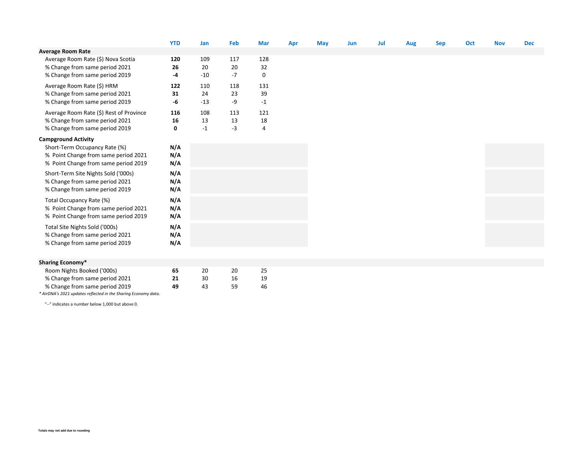|                                                                                                                                                                                    | <b>YTD</b>                   | Jan                             | Feb                          | <b>Mar</b>                     | Apr | <b>May</b> | Jun | Jul | Aug | <b>Sep</b> | Oct | <b>Nov</b> | <b>Dec</b> |
|------------------------------------------------------------------------------------------------------------------------------------------------------------------------------------|------------------------------|---------------------------------|------------------------------|--------------------------------|-----|------------|-----|-----|-----|------------|-----|------------|------------|
| <b>Average Room Rate</b>                                                                                                                                                           |                              |                                 |                              |                                |     |            |     |     |     |            |     |            |            |
| Average Room Rate (\$) Nova Scotia<br>% Change from same period 2021<br>% Change from same period 2019                                                                             | 120<br>26<br>-4              | 109<br>20<br>$-10$              | 117<br>20<br>$-7$            | 128<br>32<br>0                 |     |            |     |     |     |            |     |            |            |
| Average Room Rate (\$) HRM<br>% Change from same period 2021<br>% Change from same period 2019<br>Average Room Rate (\$) Rest of Province<br>% Change from same period 2021        | 122<br>31<br>-6<br>116<br>16 | 110<br>24<br>$-13$<br>108<br>13 | 118<br>23<br>-9<br>113<br>13 | 131<br>39<br>$-1$<br>121<br>18 |     |            |     |     |     |            |     |            |            |
| % Change from same period 2019                                                                                                                                                     | 0                            | $-1$                            | $-3$                         | $\overline{4}$                 |     |            |     |     |     |            |     |            |            |
| <b>Campground Activity</b><br>Short-Term Occupancy Rate (%)<br>% Point Change from same period 2021<br>% Point Change from same period 2019<br>Short-Term Site Nights Sold ('000s) | N/A<br>N/A<br>N/A<br>N/A     |                                 |                              |                                |     |            |     |     |     |            |     |            |            |
| % Change from same period 2021<br>% Change from same period 2019                                                                                                                   | N/A<br>N/A                   |                                 |                              |                                |     |            |     |     |     |            |     |            |            |
| Total Occupancy Rate (%)<br>% Point Change from same period 2021<br>% Point Change from same period 2019                                                                           | N/A<br>N/A<br>N/A            |                                 |                              |                                |     |            |     |     |     |            |     |            |            |
| Total Site Nights Sold ('000s)<br>% Change from same period 2021<br>% Change from same period 2019                                                                                 | N/A<br>N/A<br>N/A            |                                 |                              |                                |     |            |     |     |     |            |     |            |            |
|                                                                                                                                                                                    |                              |                                 |                              |                                |     |            |     |     |     |            |     |            |            |
| <b>Sharing Economy*</b>                                                                                                                                                            |                              |                                 |                              |                                |     |            |     |     |     |            |     |            |            |

| Room Nights Booked ('000s)     | 65 |    | 20 | 25 |
|--------------------------------|----|----|----|----|
| % Change from same period 2021 |    | 30 | 16 |    |
| % Change from same period 2019 | 49 | 43 | 59 | 46 |

*\* AirDNA's 2021 updates reflected in the Sharing Economy data.*

"--" indicates a number below 1,000 but above 0.